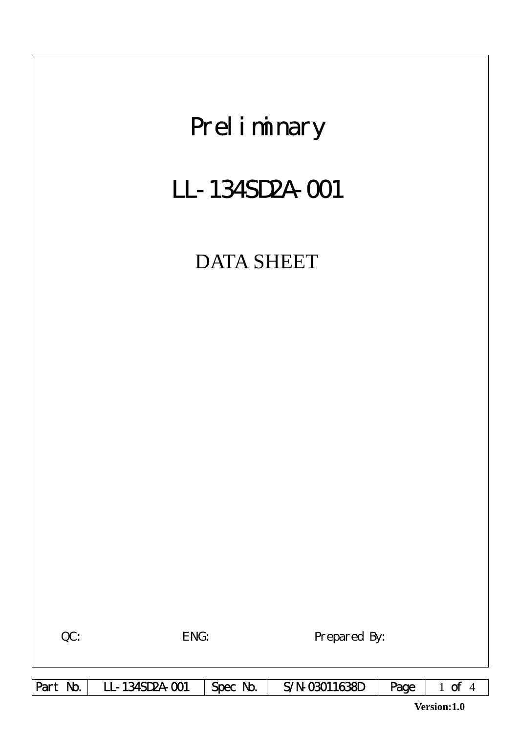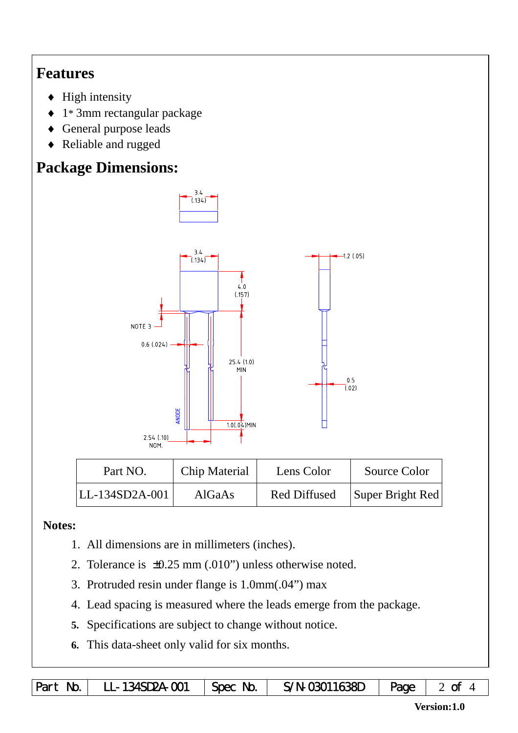## **Features**

- $\blacklozenge$  High intensity
- ♦ 1\* 3mm rectangular package
- ♦ General purpose leads
- ♦ Reliable and rugged

# **Package Dimensions:**



| Part NO.       | Chip Material | Lens Color          | Source Color     |
|----------------|---------------|---------------------|------------------|
| LL-134SD2A-001 | <b>AlGaAs</b> | <b>Red Diffused</b> | Super Bright Red |

## **Notes:**

- 1. All dimensions are in millimeters (inches).
- 2. Tolerance is ±0.25 mm (.010") unless otherwise noted.
- 3. Protruded resin under flange is 1.0mm(.04") max
- 4. Lead spacing is measured where the leads emerge from the package.
- **5.** Specifications are subject to change without notice.
- **6.** This data-sheet only valid for six months.

|  | Part No.   LL-134SD2A-001   Spec No.   S/N-03011638D   Page   2 of 4 |  |  |  |  |
|--|----------------------------------------------------------------------|--|--|--|--|
|--|----------------------------------------------------------------------|--|--|--|--|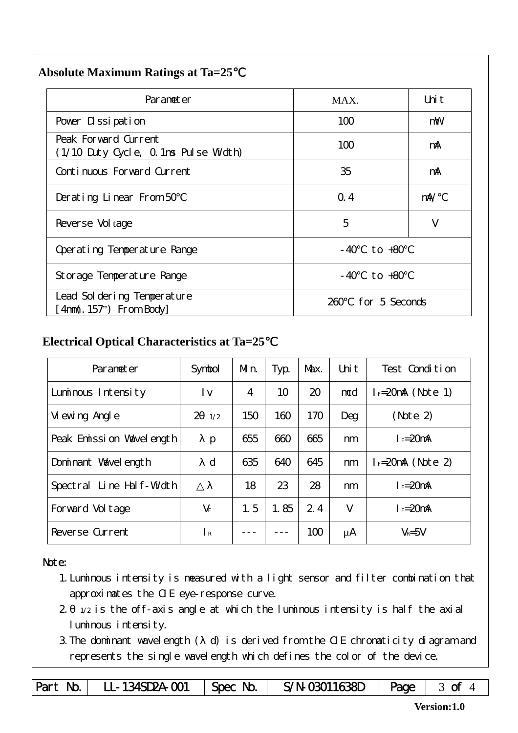#### **Absolute Maximum Ratings at Ta=25**℃

| Parameter                                                     | MAX.                 | Uni t      |  |  |
|---------------------------------------------------------------|----------------------|------------|--|--|
| Pover Dissipation                                             | 100                  | mW         |  |  |
| Peak Forward Current<br>(1/10 Duty Cycle, 0.1ms Pulse Width)  | 100                  | mA         |  |  |
| Continuous Forward Current                                    | 35                   | mA         |  |  |
| Derating Linear From 50                                       | Q.4                  | $m\lambda$ |  |  |
| Reverse Vol tage                                              | 5                    | V          |  |  |
| Operating Temperature Range                                   | to +80<br>- 40       |            |  |  |
| $-40$ to $+80$<br>Storage Temperature Range                   |                      |            |  |  |
| Lead Sol dering Temperature<br>$[4 \text{nm}(.157)$ From Body | for 5 Seconds<br>260 |            |  |  |

### **Electrical Optical Characteristics at Ta=25**℃

| Parameter                   | Symbol               | Mn. | Typ. | Max. | Uni t  | Test Condition       |
|-----------------------------|----------------------|-----|------|------|--------|----------------------|
| Luminous Intensity          | l v                  | 4   | 10   | 20   | mcd    | $I = 20$ mA (Note 1) |
| Vi ewing Angl e             | $\mathcal{P}$<br>1/2 | 150 | 160  | 170  | Deg    | (Note 2)             |
| Peak Emission Wavelength    | p                    | 655 | 660  | 665  | nm     | $I_F = 20$ mA        |
| Dominant Wavelength         | $\mathbf d$          | 635 | 640  | 645  | nm     | $I = 20mA$ (Note 2)  |
| Line Half-Width<br>Spectral |                      | 18  | 23   | 28   | nm     | $I_F = 20$ mA        |
| Forward Voltage             | $V_F$                | 1.5 | 1.85 | 2.4  | $\vee$ | $I_F = 20$ mA        |
| Reverse Current             | $\mathsf{R}$         |     |      | 100  | μA     | $V_R = 5V$           |

Note:

- 1.Luminous intensity is measured with a light sensor and filter combination that approximates the CIE eye-response curve.
- 2. 1/2 is the off-axis angle at which the luminous intensity is half the axial luminous intensity.
- 3. The dominant wavelength ( d) is derived from the CIE chromaticity diagram and represents the single wavelength which defines the color of the device.

|  | Part No.   LL-134SD2A-001   Spec No. |  | $S/N-03011638D$   Page   3 of 4 |  |  |
|--|--------------------------------------|--|---------------------------------|--|--|
|--|--------------------------------------|--|---------------------------------|--|--|